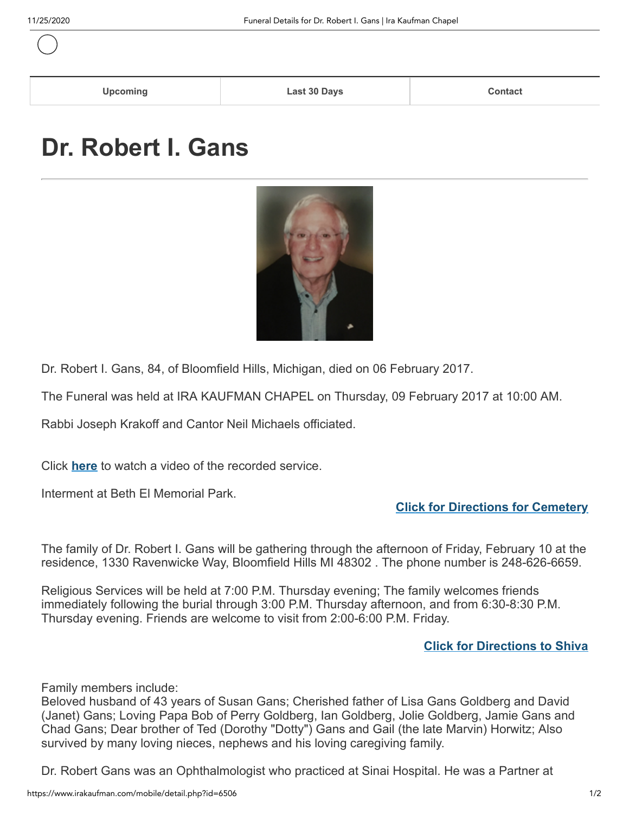| <b>Upcoming</b> | Last 30 Days | <b>Contact</b><br>________ |
|-----------------|--------------|----------------------------|
|                 |              |                            |

## **Dr. Robert I. Gans**



Dr. Robert I. Gans, 84, of Bloomfield Hills, Michigan, died on 06 February 2017.

The Funeral was held at IRA KAUFMAN CHAPEL on Thursday, 09 February 2017 at 10:00 AM.

Rabbi Joseph Krakoff and Cantor Neil Michaels officiated.

Click **[here](https://www.irakaufman.com/funerals/index_videoarchive.php?funeralid=6506)** to watch a video of the recorded service.

Interment at Beth El Memorial Park.

## **[Click for Directions for Cemetery](https://www.irakaufman.com/funerals/index_cemeterydirections.php?funeralid=6506&cemeteryid=2)**

The family of Dr. Robert I. Gans will be gathering through the afternoon of Friday, February 10 at the residence, 1330 Ravenwicke Way, Bloomfield Hills MI 48302 . The phone number is 248-626-6659.

Religious Services will be held at 7:00 P.M. Thursday evening; The family welcomes friends immediately following the burial through 3:00 P.M. Thursday afternoon, and from 6:30-8:30 P.M. Thursday evening. Friends are welcome to visit from 2:00-6:00 P.M. Friday.

## **[Click for Directions to Shiva](javascript:document.forms[)**

Family members include:

Beloved husband of 43 years of Susan Gans; Cherished father of Lisa Gans Goldberg and David (Janet) Gans; Loving Papa Bob of Perry Goldberg, Ian Goldberg, Jolie Goldberg, Jamie Gans and Chad Gans; Dear brother of Ted (Dorothy "Dotty") Gans and Gail (the late Marvin) Horwitz; Also survived by many loving nieces, nephews and his loving caregiving family.

Dr. Robert Gans was an Ophthalmologist who practiced at Sinai Hospital. He was a Partner at